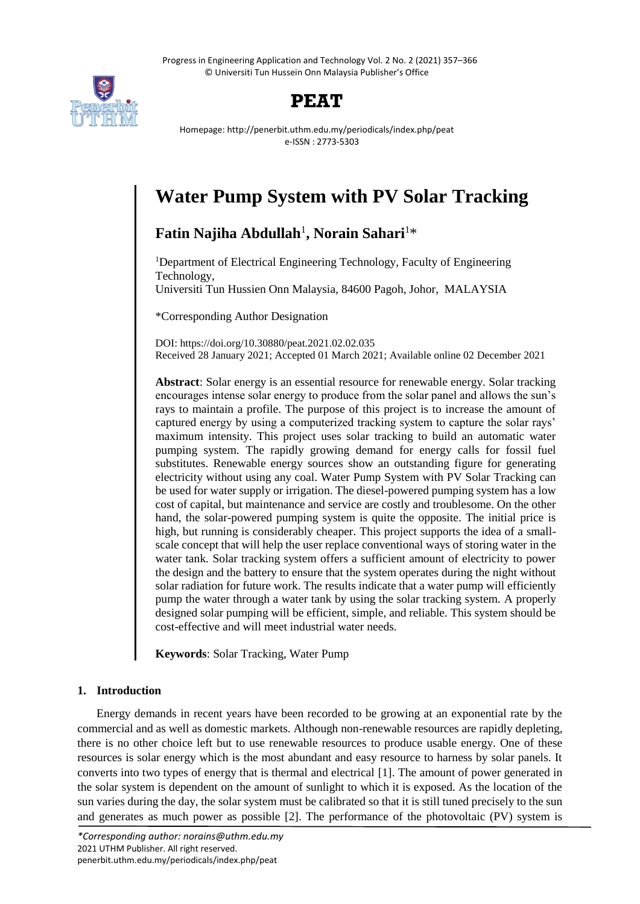Progress in Engineering Application and Technology Vol. 2 No. 2 (2021) 357–366 © Universiti Tun Hussein Onn Malaysia Publisher's Office



## **PEAT**

Homepage: http://penerbit.uthm.edu.my/periodicals/index.php/peat e-ISSN : 2773-5303

# **Water Pump System with PV Solar Tracking**

## **Fatin Najiha Abdullah**<sup>1</sup> **, Norain Sahari**<sup>1</sup>\*

<sup>1</sup>Department of Electrical Engineering Technology, Faculty of Engineering Technology,

Universiti Tun Hussien Onn Malaysia, 84600 Pagoh, Johor, MALAYSIA

\*Corresponding Author Designation

DOI: https://doi.org/10.30880/peat.2021.02.02.035 Received 28 January 2021; Accepted 01 March 2021; Available online 02 December 2021

**Abstract**: Solar energy is an essential resource for renewable energy. Solar tracking encourages intense solar energy to produce from the solar panel and allows the sun's rays to maintain a profile. The purpose of this project is to increase the amount of captured energy by using a computerized tracking system to capture the solar rays' maximum intensity. This project uses solar tracking to build an automatic water pumping system. The rapidly growing demand for energy calls for fossil fuel substitutes. Renewable energy sources show an outstanding figure for generating electricity without using any coal. Water Pump System with PV Solar Tracking can be used for water supply or irrigation. The diesel-powered pumping system has a low cost of capital, but maintenance and service are costly and troublesome. On the other hand, the solar-powered pumping system is quite the opposite. The initial price is high, but running is considerably cheaper. This project supports the idea of a smallscale concept that will help the user replace conventional ways of storing water in the water tank. Solar tracking system offers a sufficient amount of electricity to power the design and the battery to ensure that the system operates during the night without solar radiation for future work. The results indicate that a water pump will efficiently pump the water through a water tank by using the solar tracking system. A properly designed solar pumping will be efficient, simple, and reliable. This system should be cost-effective and will meet industrial water needs.

**Keywords**: Solar Tracking, Water Pump

## **1. Introduction**

Energy demands in recent years have been recorded to be growing at an exponential rate by the commercial and as well as domestic markets. Although non-renewable resources are rapidly depleting, there is no other choice left but to use renewable resources to produce usable energy. One of these resources is solar energy which is the most abundant and easy resource to harness by solar panels. It converts into two types of energy that is thermal and electrical [1]. The amount of power generated in the solar system is dependent on the amount of sunlight to which it is exposed. As the location of the sun varies during the day, the solar system must be calibrated so that it is still tuned precisely to the sun and generates as much power as possible [2]. The performance of the photovoltaic (PV) system is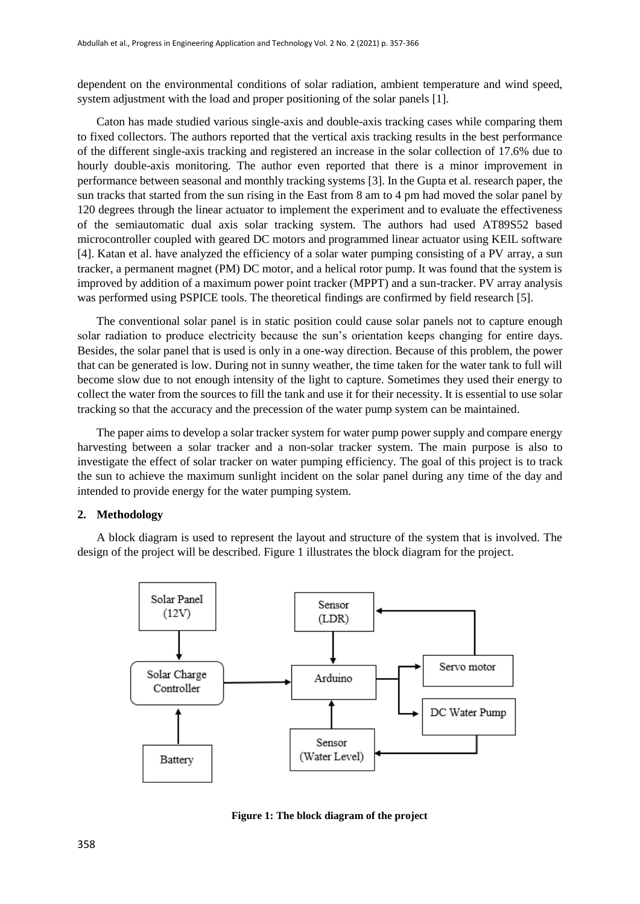dependent on the environmental conditions of solar radiation, ambient temperature and wind speed, system adjustment with the load and proper positioning of the solar panels [1].

Caton has made studied various single-axis and double-axis tracking cases while comparing them to fixed collectors. The authors reported that the vertical axis tracking results in the best performance of the different single-axis tracking and registered an increase in the solar collection of 17.6% due to hourly double-axis monitoring. The author even reported that there is a minor improvement in performance between seasonal and monthly tracking systems [3]. In the Gupta et al. research paper, the sun tracks that started from the sun rising in the East from 8 am to 4 pm had moved the solar panel by 120 degrees through the linear actuator to implement the experiment and to evaluate the effectiveness of the semiautomatic dual axis solar tracking system. The authors had used AT89S52 based microcontroller coupled with geared DC motors and programmed linear actuator using KEIL software [4]. Katan et al. have analyzed the efficiency of a solar water pumping consisting of a PV array, a sun tracker, a permanent magnet (PM) DC motor, and a helical rotor pump. It was found that the system is improved by addition of a maximum power point tracker (MPPT) and a sun-tracker. PV array analysis was performed using PSPICE tools. The theoretical findings are confirmed by field research [5].

The conventional solar panel is in static position could cause solar panels not to capture enough solar radiation to produce electricity because the sun's orientation keeps changing for entire days. Besides, the solar panel that is used is only in a one-way direction. Because of this problem, the power that can be generated is low. During not in sunny weather, the time taken for the water tank to full will become slow due to not enough intensity of the light to capture. Sometimes they used their energy to collect the water from the sources to fill the tank and use it for their necessity. It is essential to use solar tracking so that the accuracy and the precession of the water pump system can be maintained.

The paper aims to develop a solar tracker system for water pump power supply and compare energy harvesting between a solar tracker and a non-solar tracker system. The main purpose is also to investigate the effect of solar tracker on water pumping efficiency. The goal of this project is to track the sun to achieve the maximum sunlight incident on the solar panel during any time of the day and intended to provide energy for the water pumping system.

#### **2. Methodology**

A block diagram is used to represent the layout and structure of the system that is involved. The design of the project will be described. Figure 1 illustrates the block diagram for the project.



**Figure 1: The block diagram of the project**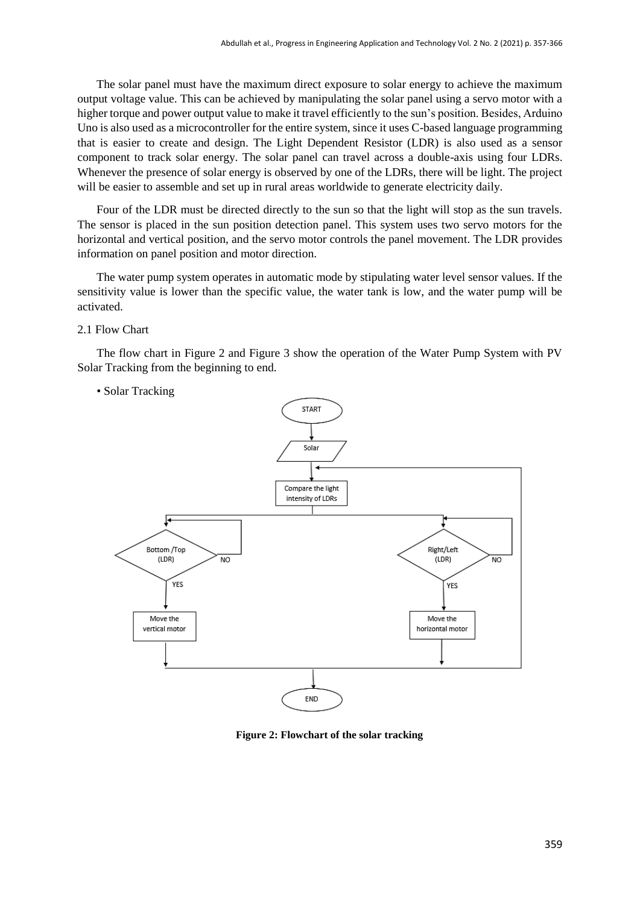The solar panel must have the maximum direct exposure to solar energy to achieve the maximum output voltage value. This can be achieved by manipulating the solar panel using a servo motor with a higher torque and power output value to make it travel efficiently to the sun's position. Besides, Arduino Uno is also used as a microcontroller for the entire system, since it uses C-based language programming that is easier to create and design. The Light Dependent Resistor (LDR) is also used as a sensor component to track solar energy. The solar panel can travel across a double-axis using four LDRs. Whenever the presence of solar energy is observed by one of the LDRs, there will be light. The project will be easier to assemble and set up in rural areas worldwide to generate electricity daily.

Four of the LDR must be directed directly to the sun so that the light will stop as the sun travels. The sensor is placed in the sun position detection panel. This system uses two servo motors for the horizontal and vertical position, and the servo motor controls the panel movement. The LDR provides information on panel position and motor direction.

The water pump system operates in automatic mode by stipulating water level sensor values. If the sensitivity value is lower than the specific value, the water tank is low, and the water pump will be activated.

2.1 Flow Chart

The flow chart in Figure 2 and Figure 3 show the operation of the Water Pump System with PV Solar Tracking from the beginning to end.

### • Solar Tracking



**Figure 2: Flowchart of the solar tracking**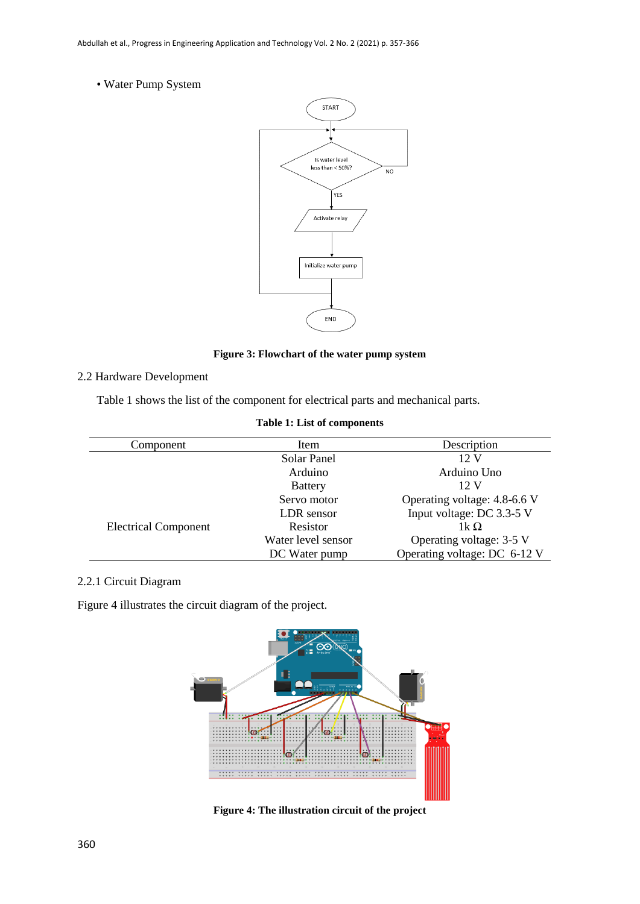• Water Pump System



**Figure 3: Flowchart of the water pump system**

## 2.2 Hardware Development

Table 1 shows the list of the component for electrical parts and mechanical parts.

| Component                   | Item               | Description                  |
|-----------------------------|--------------------|------------------------------|
|                             | Solar Panel        | $12 \text{ V}$               |
|                             | Arduino            | Arduino Uno                  |
|                             | <b>Battery</b>     | 12 V                         |
|                             | Servo motor        | Operating voltage: 4.8-6.6 V |
|                             | LDR sensor         | Input voltage: DC 3.3-5 V    |
| <b>Electrical Component</b> | Resistor           | 1k $\Omega$                  |
|                             | Water level sensor | Operating voltage: 3-5 V     |
|                             | DC Water pump      | Operating voltage: DC 6-12 V |
|                             |                    |                              |

## 2.2.1 Circuit Diagram

Figure 4 illustrates the circuit diagram of the project.



**Figure 4: The illustration circuit of the project**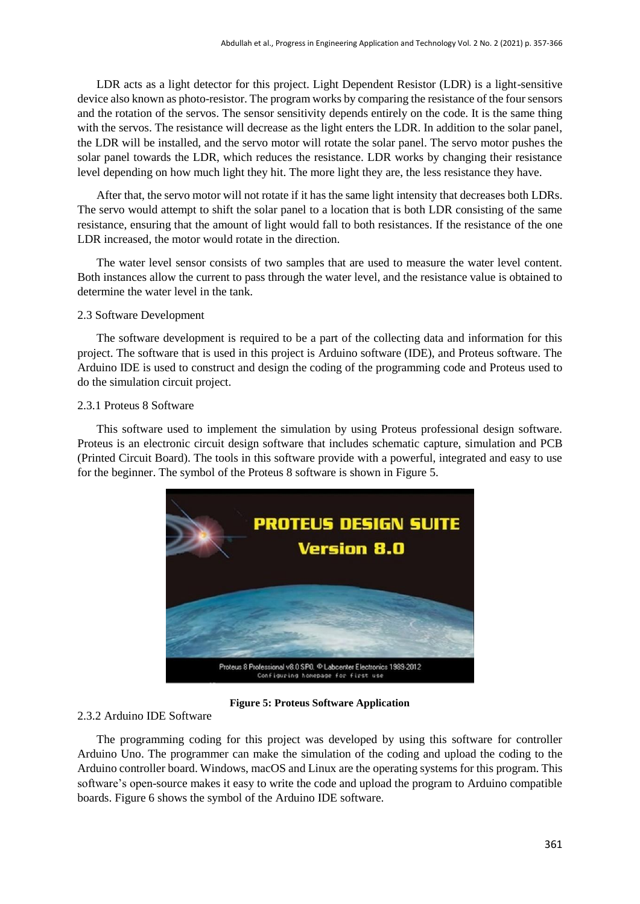LDR acts as a light detector for this project. Light Dependent Resistor (LDR) is a light-sensitive device also known as photo-resistor. The program works by comparing the resistance of the four sensors and the rotation of the servos. The sensor sensitivity depends entirely on the code. It is the same thing with the servos. The resistance will decrease as the light enters the LDR. In addition to the solar panel, the LDR will be installed, and the servo motor will rotate the solar panel. The servo motor pushes the solar panel towards the LDR, which reduces the resistance. LDR works by changing their resistance level depending on how much light they hit. The more light they are, the less resistance they have.

After that, the servo motor will not rotate if it has the same light intensity that decreases both LDRs. The servo would attempt to shift the solar panel to a location that is both LDR consisting of the same resistance, ensuring that the amount of light would fall to both resistances. If the resistance of the one LDR increased, the motor would rotate in the direction.

The water level sensor consists of two samples that are used to measure the water level content. Both instances allow the current to pass through the water level, and the resistance value is obtained to determine the water level in the tank.

#### 2.3 Software Development

The software development is required to be a part of the collecting data and information for this project. The software that is used in this project is Arduino software (IDE), and Proteus software. The Arduino IDE is used to construct and design the coding of the programming code and Proteus used to do the simulation circuit project.

#### 2.3.1 Proteus 8 Software

This software used to implement the simulation by using Proteus professional design software. Proteus is an electronic circuit design software that includes schematic capture, simulation and PCB (Printed Circuit Board). The tools in this software provide with a powerful, integrated and easy to use for the beginner. The symbol of the Proteus 8 software is shown in Figure 5.



**Figure 5: Proteus Software Application**

### 2.3.2 Arduino IDE Software

The programming coding for this project was developed by using this software for controller Arduino Uno. The programmer can make the simulation of the coding and upload the coding to the Arduino controller board. Windows, macOS and Linux are the operating systems for this program. This software's open-source makes it easy to write the code and upload the program to Arduino compatible boards. Figure 6 shows the symbol of the Arduino IDE software.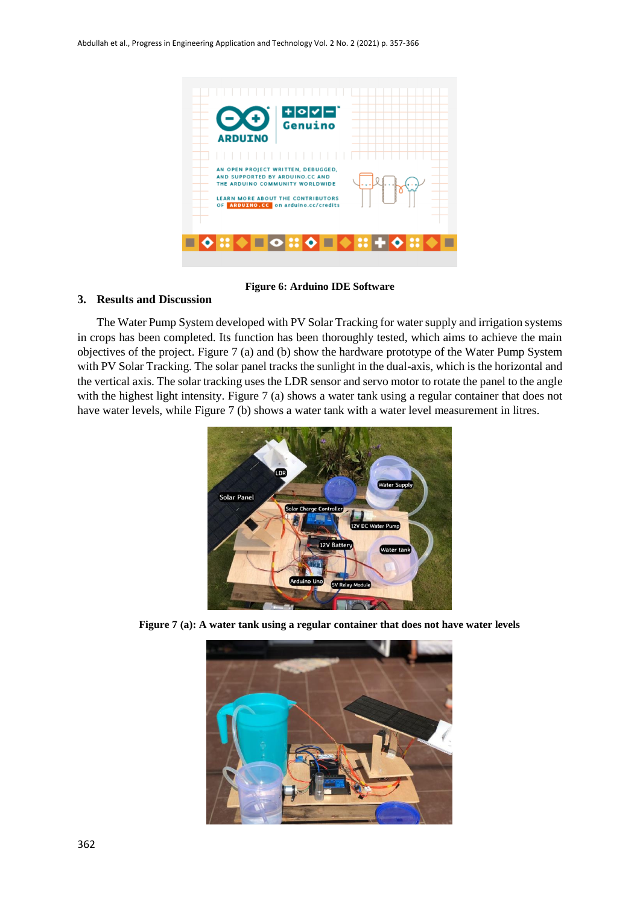

**Figure 6: Arduino IDE Software**

## **3. Results and Discussion**

The Water Pump System developed with PV Solar Tracking for water supply and irrigation systems in crops has been completed. Its function has been thoroughly tested, which aims to achieve the main objectives of the project. Figure 7 (a) and (b) show the hardware prototype of the Water Pump System with PV Solar Tracking. The solar panel tracks the sunlight in the dual-axis, which is the horizontal and the vertical axis. The solar tracking uses the LDR sensor and servo motor to rotate the panel to the angle with the highest light intensity. Figure 7 (a) shows a water tank using a regular container that does not have water levels, while Figure 7 (b) shows a water tank with a water level measurement in litres.



**Figure 7 (a): A water tank using a regular container that does not have water levels**

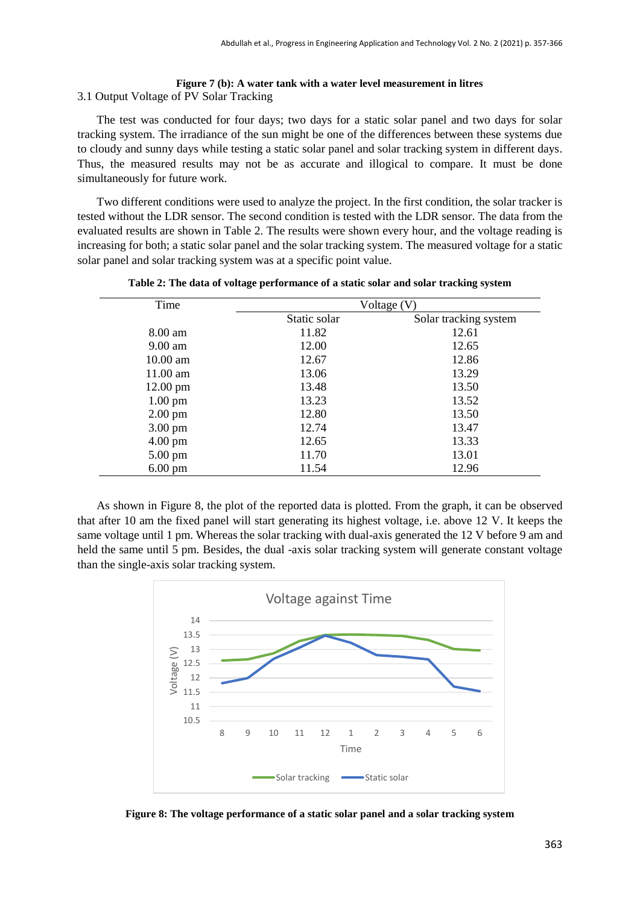#### **Figure 7 (b): A water tank with a water level measurement in litres** 3.1 Output Voltage of PV Solar Tracking

The test was conducted for four days; two days for a static solar panel and two days for solar tracking system. The irradiance of the sun might be one of the differences between these systems due to cloudy and sunny days while testing a static solar panel and solar tracking system in different days. Thus, the measured results may not be as accurate and illogical to compare. It must be done simultaneously for future work.

Two different conditions were used to analyze the project. In the first condition, the solar tracker is tested without the LDR sensor. The second condition is tested with the LDR sensor. The data from the evaluated results are shown in Table 2. The results were shown every hour, and the voltage reading is increasing for both; a static solar panel and the solar tracking system. The measured voltage for a static solar panel and solar tracking system was at a specific point value.

| Time               | Voltage (V)  |                       |
|--------------------|--------------|-----------------------|
|                    | Static solar | Solar tracking system |
| 8.00 am            | 11.82        | 12.61                 |
| $9.00 \text{ am}$  | 12.00        | 12.65                 |
| $10.00$ am         | 12.67        | 12.86                 |
| $11.00$ am         | 13.06        | 13.29                 |
| $12.00 \text{ pm}$ | 13.48        | 13.50                 |
| $1.00 \text{ pm}$  | 13.23        | 13.52                 |
| $2.00 \text{ pm}$  | 12.80        | 13.50                 |
| $3.00 \text{ pm}$  | 12.74        | 13.47                 |
| $4.00 \text{ pm}$  | 12.65        | 13.33                 |
| $5.00 \text{ pm}$  | 11.70        | 13.01                 |
| $6.00 \text{ pm}$  | 11.54        | 12.96                 |

**Table 2: The data of voltage performance of a static solar and solar tracking system**

As shown in Figure 8, the plot of the reported data is plotted. From the graph, it can be observed that after 10 am the fixed panel will start generating its highest voltage, i.e. above 12 V. It keeps the same voltage until 1 pm. Whereas the solar tracking with dual-axis generated the 12 V before 9 am and held the same until 5 pm. Besides, the dual -axis solar tracking system will generate constant voltage than the single-axis solar tracking system.



**Figure 8: The voltage performance of a static solar panel and a solar tracking system**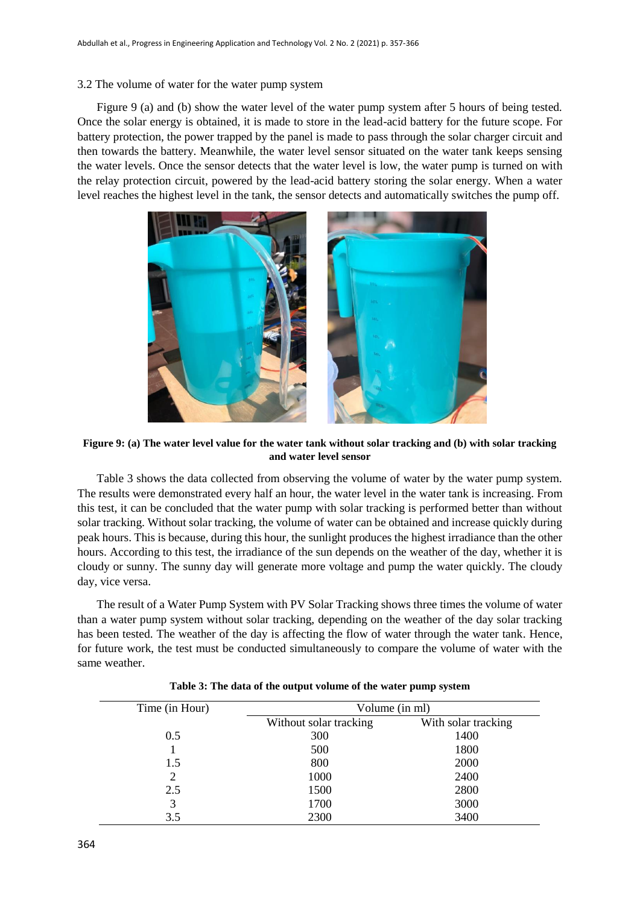#### 3.2 The volume of water for the water pump system

Figure 9 (a) and (b) show the water level of the water pump system after 5 hours of being tested. Once the solar energy is obtained, it is made to store in the lead-acid battery for the future scope. For battery protection, the power trapped by the panel is made to pass through the solar charger circuit and then towards the battery. Meanwhile, the water level sensor situated on the water tank keeps sensing the water levels. Once the sensor detects that the water level is low, the water pump is turned on with the relay protection circuit, powered by the lead-acid battery storing the solar energy. When a water level reaches the highest level in the tank, the sensor detects and automatically switches the pump off.



**Figure 9: (a) The water level value for the water tank without solar tracking and (b) with solar tracking and water level sensor**

Table 3 shows the data collected from observing the volume of water by the water pump system. The results were demonstrated every half an hour, the water level in the water tank is increasing. From this test, it can be concluded that the water pump with solar tracking is performed better than without solar tracking. Without solar tracking, the volume of water can be obtained and increase quickly during peak hours. This is because, during this hour, the sunlight produces the highest irradiance than the other hours. According to this test, the irradiance of the sun depends on the weather of the day, whether it is cloudy or sunny. The sunny day will generate more voltage and pump the water quickly. The cloudy day, vice versa.

The result of a Water Pump System with PV Solar Tracking shows three times the volume of water than a water pump system without solar tracking, depending on the weather of the day solar tracking has been tested. The weather of the day is affecting the flow of water through the water tank. Hence, for future work, the test must be conducted simultaneously to compare the volume of water with the same weather.

| Time (in Hour) | Volume (in ml)         |                     |
|----------------|------------------------|---------------------|
|                | Without solar tracking | With solar tracking |
| 0.5            | 300                    | 1400                |
|                | 500                    | 1800                |
| 1.5            | 800                    | 2000                |
| 2              | 1000                   | 2400                |
| 2.5            | 1500                   | 2800                |
| 3              | 1700                   | 3000                |
| 3.5            | 2300                   | 3400                |

| Table 3: The data of the output volume of the water pump system |  |
|-----------------------------------------------------------------|--|
|-----------------------------------------------------------------|--|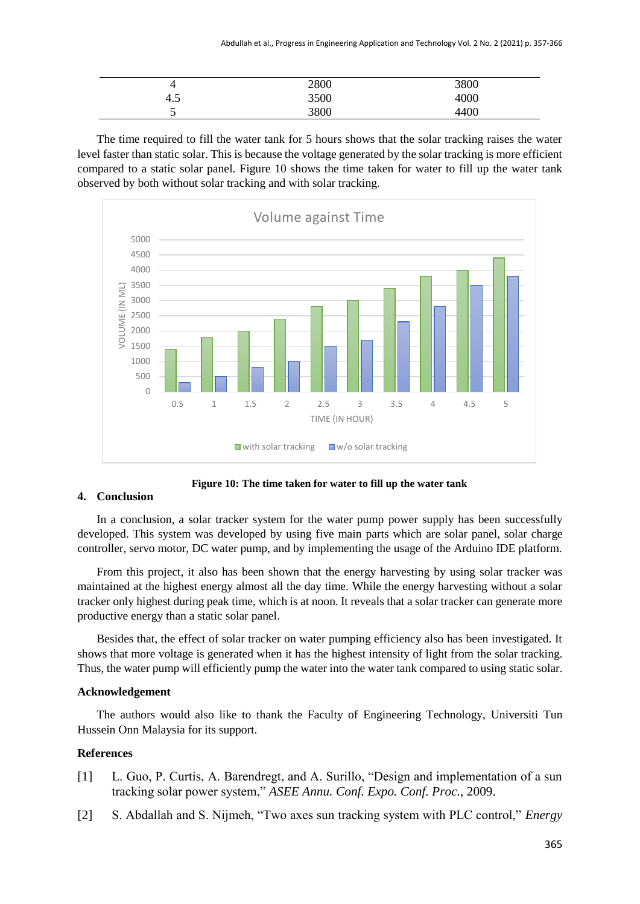| ▃        | 2800 | 3800 |
|----------|------|------|
| -<br>4.5 | 3500 | 4000 |
| -<br>ັ   | 3800 | 4400 |

The time required to fill the water tank for 5 hours shows that the solar tracking raises the water level faster than static solar. This is because the voltage generated by the solar tracking is more efficient compared to a static solar panel. Figure 10 shows the time taken for water to fill up the water tank observed by both without solar tracking and with solar tracking.



**Figure 10: The time taken for water to fill up the water tank**

## **4. Conclusion**

In a conclusion, a solar tracker system for the water pump power supply has been successfully developed. This system was developed by using five main parts which are solar panel, solar charge controller, servo motor, DC water pump, and by implementing the usage of the Arduino IDE platform.

From this project, it also has been shown that the energy harvesting by using solar tracker was maintained at the highest energy almost all the day time. While the energy harvesting without a solar tracker only highest during peak time, which is at noon. It reveals that a solar tracker can generate more productive energy than a static solar panel.

Besides that, the effect of solar tracker on water pumping efficiency also has been investigated. It shows that more voltage is generated when it has the highest intensity of light from the solar tracking. Thus, the water pump will efficiently pump the water into the water tank compared to using static solar.

## **Acknowledgement**

The authors would also like to thank the Faculty of Engineering Technology, Universiti Tun Hussein Onn Malaysia for its support.

## **References**

- [1] L. Guo, P. Curtis, A. Barendregt, and A. Surillo, "Design and implementation of a sun tracking solar power system," *ASEE Annu. Conf. Expo. Conf. Proc.*, 2009.
- [2] S. Abdallah and S. Nijmeh, "Two axes sun tracking system with PLC control," *Energy*